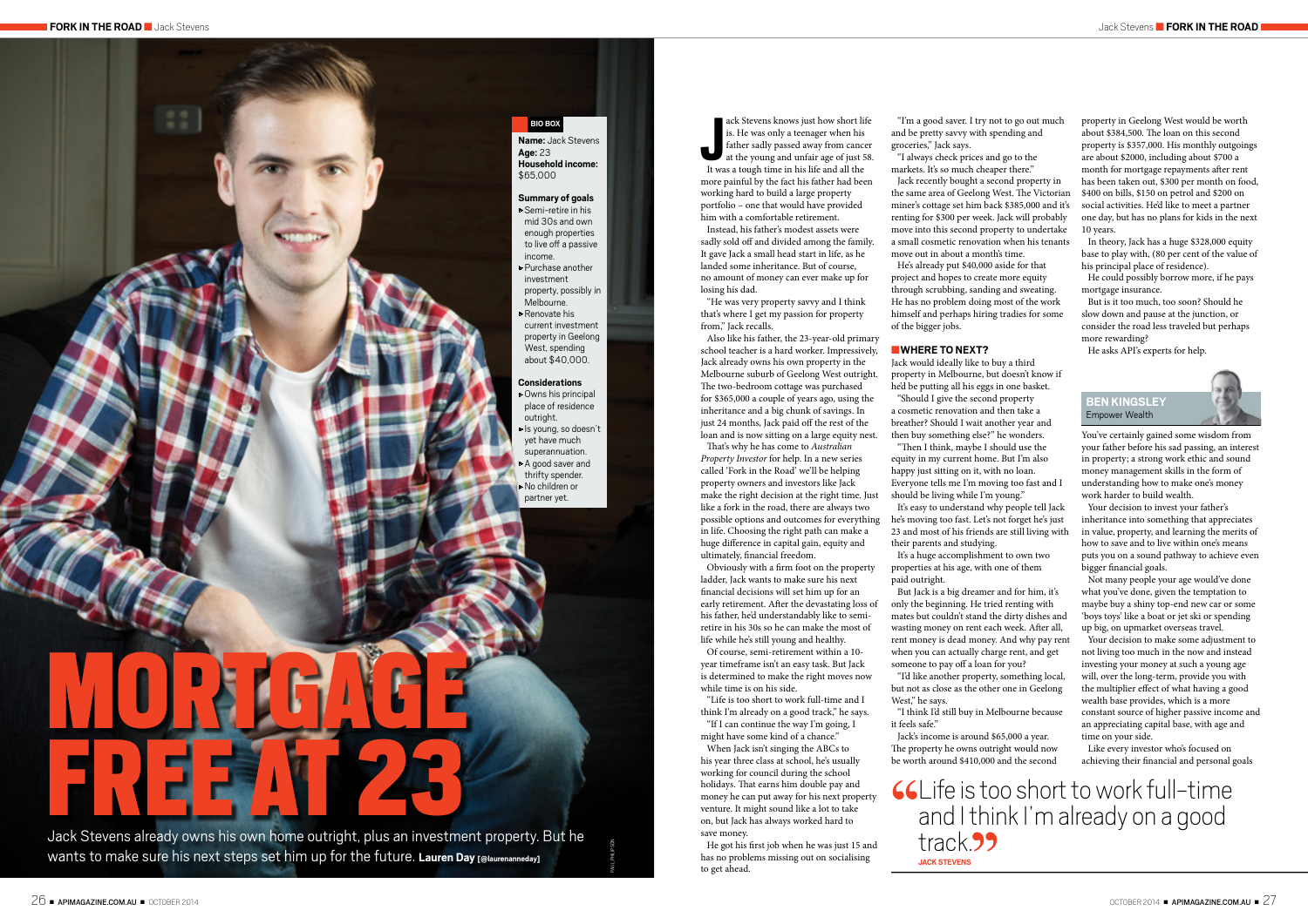ack Stevens knows just how short life is. He was only a teenager when his father sadly passed away from cance at the young and unfair age of just 5 It was a tough time in his life and all the ack Stevens knows just how short life is. He was only a teenager when his father sadly passed away from cancer at the young and unfair age of just 58. more painful by the fact his father had been working hard to build a large property portfolio – one that would have provided

him with a comfortable retirement. Instead, his father's modest assets were sadly sold off and divided among the family. It gave Jack a small head start in life, as he landed some inheritance. But of course, no amount of money can ever make up for losing his dad.

"He was very property savvy and I think that's where I get my passion for property from," Jack recalls.

Also like his father, the 23-year-old primary school teacher is a hard worker. Impressively, Jack already owns his own property in the Melbourne suburb of Geelong West outright. The two-bedroom cottage was purchased for \$365,000 a couple of years ago, using the inheritance and a big chunk of savings. In just 24 months, Jack paid off the rest of the loan and is now sitting on a large equity nest.

That's why he has come to *Australian Property Investor* for help. In a new series called 'Fork in the Road' we'll be helping property owners and investors like Jack make the right decision at the right time. Just like a fork in the road, there are always two possible options and outcomes for everything in life. Choosing the right path can make a huge difference in capital gain, equity and ultimately, financial freedom.

Obviously with a firm foot on the property ladder, Jack wants to make sure his next financial decisions will set him up for an early retirement. After the devastating loss of his father, he'd understandably like to semiretire in his 30s so he can make the most of life while he's still young and healthy.

Of course, semi-retirement within a 10 year timeframe isn't an easy task. But Jack is determined to make the right moves now while time is on his side.

"Life is too short to work full-time and I think I'm already on a good track," he says. "If I can continue the way I'm going, I

might have some kind of a chance."

When Jack isn't singing the ABCs to his year three class at school, he's usually working for council during the school holidays. That earns him double pay and money he can put away for his next property venture. It might sound like a lot to take on, but Jack has always worked hard to save money.

He got his first job when he was just 15 and has no problems missing out on socialising to get ahead.

He could possibly borrow more, if he pays mortgage insurance.

"I'm a good saver. I try not to go out much and be pretty savvy with spending and groceries," Jack says.

"I always check prices and go to the markets. It's so much cheaper there." Jack recently bought a second property in the same area of Geelong West. The Victorian miner's cottage set him back \$385,000 and it's renting for \$300 per week. Jack will probably move into this second property to undertake a small cosmetic renovation when his tenants move out in about a month's time.

He's already put \$40,000 aside for that project and hopes to create more equity through scrubbing, sanding and sweating. He has no problem doing most of the work himself and perhaps hiring tradies for some of the bigger jobs.

■**WHERE TO NEXT?**

Jack Stevens already owns his own home outright, plus an investment property. But he wants to make sure his next steps set him up for the future. **Lauren Day [@laurenanneday]**

Jack would ideally like to buy a third property in Melbourne, but doesn't know if he'd be putting all his eggs in one basket. "Should I give the second property a cosmetic renovation and then take a breather? Should I wait another year and then buy something else?" he wonders. equity in my current home. But I'm also happy just sitting on it, with no loan. Everyone tells me I'm moving too fast and I should be living while I'm young."

"Then I think, maybe I should use the

# **CCL**ife is too short to work full-time and I think I'm already on a good

It's easy to understand why people tell Jack he's moving too fast. Let's not forget he's just 23 and most of his friends are still living with their parents and studying.

It's a huge accomplishment to own two properties at his age, with one of them paid outright.

But Jack is a big dreamer and for him, it's only the beginning. He tried renting with mates but couldn't stand the dirty dishes and wasting money on rent each week. After all, rent money is dead money. And why pay rent when you can actually charge rent, and get someone to pay off a loan for you?

"I'd like another property, something local,

but not as close as the other one in Geelong West," he says.

"I think I'd still buy in Melbourne because it feels safe."

Jack's income is around \$65,000 a year. The property he owns outright would now be worth around \$410,000 and the second

property in Geelong West would be worth about \$384,500. The loan on this second property is \$357,000. His monthly outgoings are about \$2000, including about \$700 a month for mortgage repayments after rent has been taken out, \$300 per month on food, \$400 on bills, \$150 on petrol and \$200 on social activities. He'd like to meet a partner one day, but has no plans for kids in the next 10 years.

In theory, Jack has a huge \$328,000 equity base to play with, (80 per cent of the value of his principal place of residence).

But is it too much, too soon? Should he slow down and pause at the junction, or consider the road less traveled but perhaps more rewarding?

He asks API's experts for help.

**BEN KINGSLEY** Empower Wealth



You've certainly gained some wisdom from your father before his sad passing, an interest in property; a strong work ethic and sound money management skills in the form of understanding how to make one's money work harder to build wealth.

Your decision to invest your father's inheritance into something that appreciates in value, property, and learning the merits of how to save and to live within one's means puts you on a sound pathway to achieve even bigger financial goals.

Not many people your age would've done what you've done, given the temptation to maybe buy a shiny top-end new car or some 'boys toys' like a boat or jet ski or spending up big, on upmarket overseas travel.

Your decision to make some adjustment to not living too much in the now and instead investing your money at such a young age will, over the long-term, provide you with the multiplier effect of what having a good wealth base provides, which is a more constant source of higher passive income and an appreciating capital base, with age and time on your side.

Like every investor who's focused on achieving their financial and personal goals



PAUL PHILIPSON

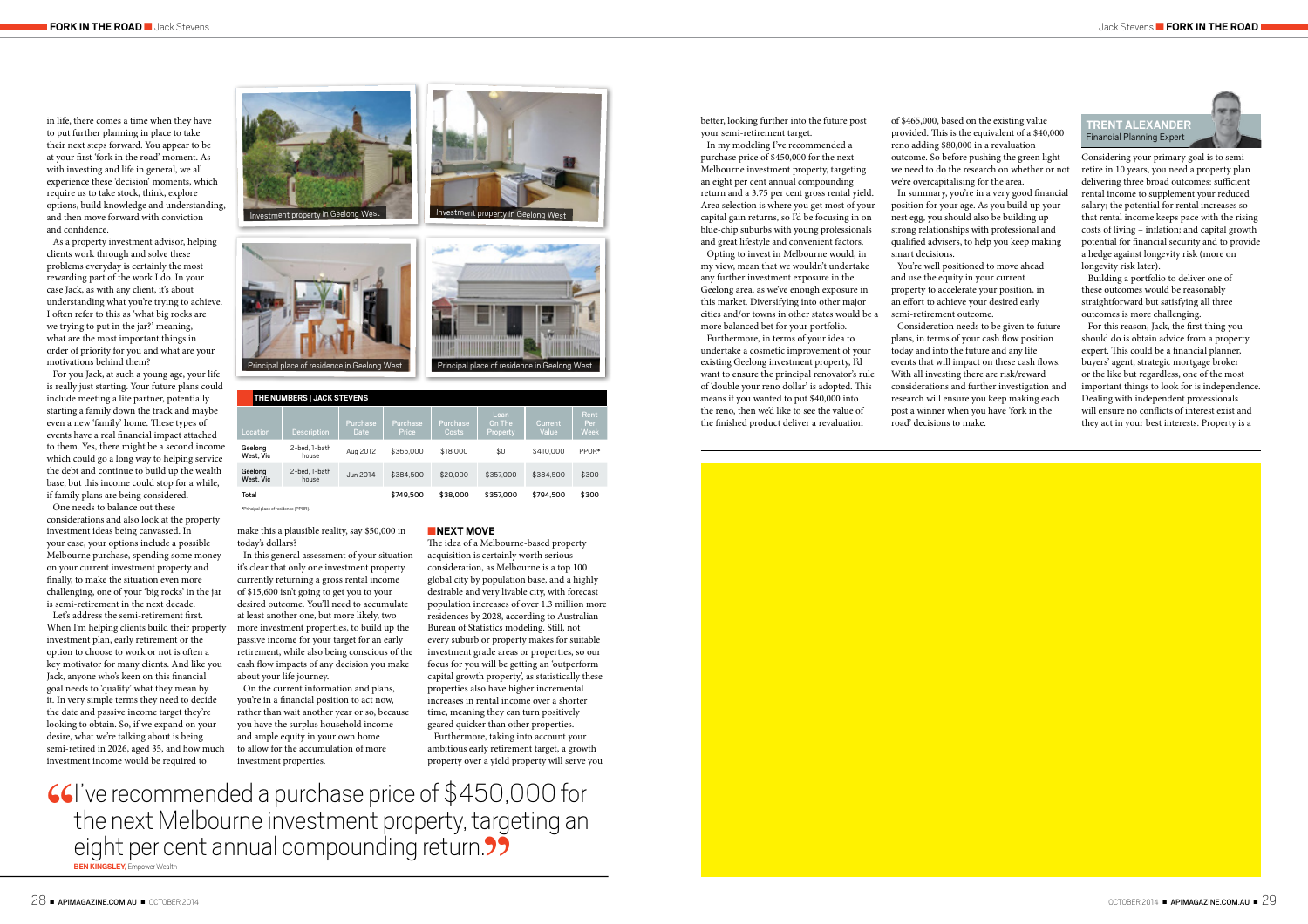better, looking further into the future post your semi-retirement target.

In my modeling I've recommended a purchase price of \$450,000 for the next Melbourne investment property, targeting an eight per cent annual compounding return and a 3.75 per cent gross rental yield. Area selection is where you get most of your capital gain returns, so I'd be focusing in on blue-chip suburbs with young professionals and great lifestyle and convenient factors.

Opting to invest in Melbourne would, in my view, mean that we wouldn't undertake any further investment exposure in the Geelong area, as we've enough exposure in this market. Diversifying into other major cities and/or towns in other states would be a more balanced bet for your portfolio.

Furthermore, in terms of your idea to undertake a cosmetic improvement of your existing Geelong investment property, I'd want to ensure the principal renovator's rule of 'double your reno dollar' is adopted. This means if you wanted to put \$40,000 into the reno, then we'd like to see the value of the finished product deliver a revaluation

of \$465,000, based on the existing value provided. This is the equivalent of a \$40,000 reno adding \$80,000 in a revaluation outcome. So before pushing the green light we need to do the research on whether or not we're overcapitalising for the area.

In summary, you're in a very good financial position for your age. As you build up your nest egg, you should also be building up strong relationships with professional and qualified advisers, to help you keep making smart decisions.

You're well positioned to move ahead and use the equity in your current property to accelerate your position, in an effort to achieve your desired early semi-retirement outcome.

Consideration needs to be given to future plans, in terms of your cash flow position today and into the future and any life events that will impact on these cash flows. With all investing there are risk/reward considerations and further investigation and research will ensure you keep making each post a winner when you have 'fork in the road' decisions to make.

### **TRENT ALEXANDER** Financial Planning Expert



Considering your primary goal is to semiretire in 10 years, you need a property plan delivering three broad outcomes: sufficient rental income to supplement your reduced salary; the potential for rental increases so that rental income keeps pace with the rising costs of living – inflation; and capital growth potential for financial security and to provide a hedge against longevity risk (more on longevity risk later).

Building a portfolio to deliver one of these outcomes would be reasonably straightforward but satisfying all three outcomes is more challenging.

For this reason, Jack, the first thing you should do is obtain advice from a property expert. This could be a financial planner, buyers' agent, strategic mortgage broker or the like but regardless, one of the most important things to look for is independence. Dealing with independent professionals will ensure no conflicts of interest exist and they act in your best interests. Property is a

in life, there comes a time when they have to put further planning in place to take their next steps forward. You appear to be at your first 'fork in the road' moment. As with investing and life in general, we all experience these 'decision' moments, which require us to take stock, think, explore options, build knowledge and understanding, and then move forward with conviction and confidence.

As a property investment advisor, helping clients work through and solve these problems everyday is certainly the most rewarding part of the work I do. In your case Jack, as with any client, it's about understanding what you're trying to achieve. I often refer to this as 'what big rocks are we trying to put in the jar?' meaning, what are the most important things in order of priority for you and what are your motivations behind them?

66 Ve recommended a purchase price of \$450,000 for the next Melbourne investment property, targeting an eight per cent annual compounding return. **BEN KINGSLEY,** Empower Wealth

For you Jack, at such a young age, your life is really just starting. Your future plans could include meeting a life partner, potentially starting a family down the track and maybe even a new 'family' home. These types of events have a real financial impact attached to them. Yes, there might be a second income which could go a long way to helping service the debt and continue to build up the wealth base, but this income could stop for a while, if family plans are being considered.

One needs to balance out these considerations and also look at the property investment ideas being canvassed. In your case, your options include a possible Melbourne purchase, spending some money on your current investment property and finally, to make the situation even more challenging, one of your 'big rocks' in the jar is semi-retirement in the next decade.

Let's address the semi-retirement first. When I'm helping clients build their property investment plan, early retirement or the option to choose to work or not is often a key motivator for many clients. And like you Jack, anyone who's keen on this financial goal needs to 'qualify' what they mean by it. In very simple terms they need to decide the date and passive income target they're looking to obtain. So, if we expand on your desire, what we're talking about is being semi-retired in 2026, aged 35, and how much investment income would be required to

make this a plausible reality, say \$50,000 in today's dollars?

In this general assessment of your situation it's clear that only one investment property currently returning a gross rental income of \$15,600 isn't going to get you to your desired outcome. You'll need to accumulate at least another one, but more likely, two more investment properties, to build up the passive income for your target for an early retirement, while also being conscious of the cash flow impacts of any decision you make about your life journey.

On the current information and plans, you're in a financial position to act now, rather than wait another year or so, because you have the surplus household income and ample equity in your own home to allow for the accumulation of more investment properties.

■**NEXT MOVE**

The idea of a Melbourne-based property acquisition is certainly worth serious consideration, as Melbourne is a top 100 global city by population base, and a highly desirable and very livable city, with forecast population increases of over 1.3 million more residences by 2028, according to Australian Bureau of Statistics modeling. Still, not every suburb or property makes for suitable investment grade areas or properties, so our focus for you will be getting an 'outperform capital growth property', as statistically these properties also have higher incremental increases in rental income over a shorter time, meaning they can turn positively geared quicker than other properties.

Furthermore, taking into account your ambitious early retirement target, a growth property over a yield property will serve you

|  | THE NUMBERS   JACK STEVENS            |                        |                  |                   |                   |                            |                  |                            |
|--|---------------------------------------|------------------------|------------------|-------------------|-------------------|----------------------------|------------------|----------------------------|
|  | Location                              | <b>Description</b>     | Purchase<br>Date | Purchase<br>Price | Purchase<br>Costs | Loan<br>On The<br>Property | Current<br>Value | Rent<br>Per<br><b>Week</b> |
|  | Geelong<br>West. Vic                  | 2-bed. 1-bath<br>house | Aug 2012         | \$365,000         | \$18,000          | \$0                        | \$410,000        | PPOR*                      |
|  | Geelong<br>West, Vic                  | 2-bed. 1-bath<br>house | Jun 2014         | \$384,500         | \$20,000          | \$357,000                  | \$384,500        | \$300                      |
|  | Total                                 |                        |                  | \$749.500         | \$38,000          | \$357,000                  | \$794.500        | \$300                      |
|  | *Princinal place of residence (PPOR). |                        |                  |                   |                   |                            |                  |                            |